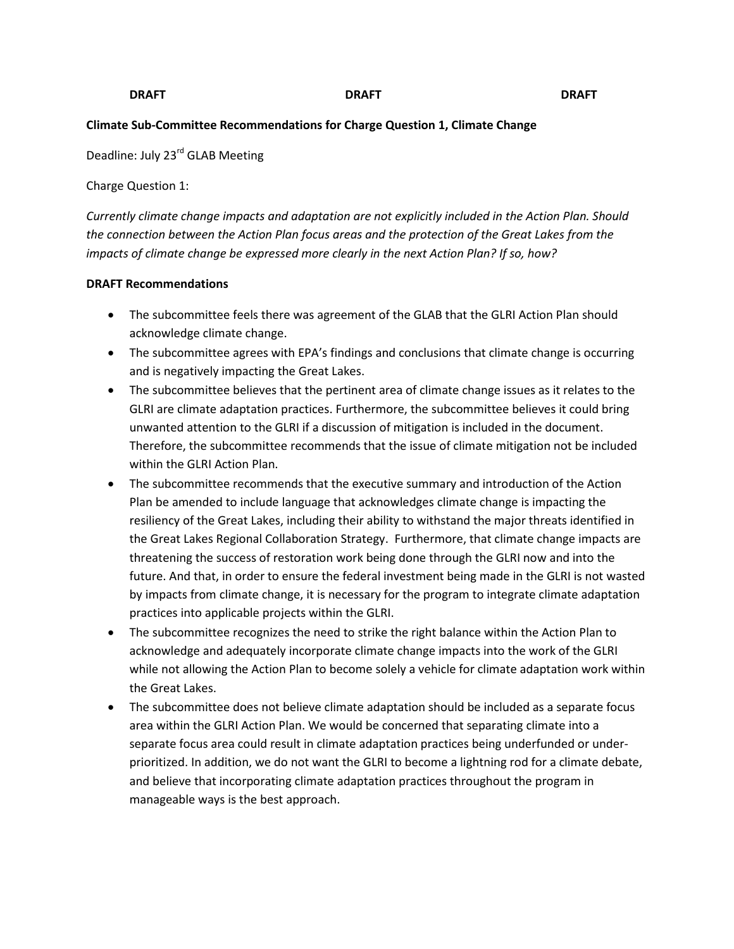## **DRAFT DRAFT DRAFT**

## **Climate Sub-Committee Recommendations for Charge Question 1, Climate Change**

Deadline: July 23<sup>rd</sup> GLAB Meeting

Charge Question 1:

*Currently climate change impacts and adaptation are not explicitly included in the Action Plan. Should the connection between the Action Plan focus areas and the protection of the Great Lakes from the impacts of climate change be expressed more clearly in the next Action Plan? If so, how?* 

## **DRAFT Recommendations**

- The subcommittee feels there was agreement of the GLAB that the GLRI Action Plan should acknowledge climate change.
- The subcommittee agrees with EPA's findings and conclusions that climate change is occurring and is negatively impacting the Great Lakes.
- The subcommittee believes that the pertinent area of climate change issues as it relates to the GLRI are climate adaptation practices. Furthermore, the subcommittee believes it could bring unwanted attention to the GLRI if a discussion of mitigation is included in the document. Therefore, the subcommittee recommends that the issue of climate mitigation not be included within the GLRI Action Plan.
- The subcommittee recommends that the executive summary and introduction of the Action Plan be amended to include language that acknowledges climate change is impacting the resiliency of the Great Lakes, including their ability to withstand the major threats identified in the Great Lakes Regional Collaboration Strategy. Furthermore, that climate change impacts are threatening the success of restoration work being done through the GLRI now and into the future. And that, in order to ensure the federal investment being made in the GLRI is not wasted by impacts from climate change, it is necessary for the program to integrate climate adaptation practices into applicable projects within the GLRI.
- The subcommittee recognizes the need to strike the right balance within the Action Plan to acknowledge and adequately incorporate climate change impacts into the work of the GLRI while not allowing the Action Plan to become solely a vehicle for climate adaptation work within the Great Lakes.
- The subcommittee does not believe climate adaptation should be included as a separate focus area within the GLRI Action Plan. We would be concerned that separating climate into a separate focus area could result in climate adaptation practices being underfunded or underprioritized. In addition, we do not want the GLRI to become a lightning rod for a climate debate, and believe that incorporating climate adaptation practices throughout the program in manageable ways is the best approach.